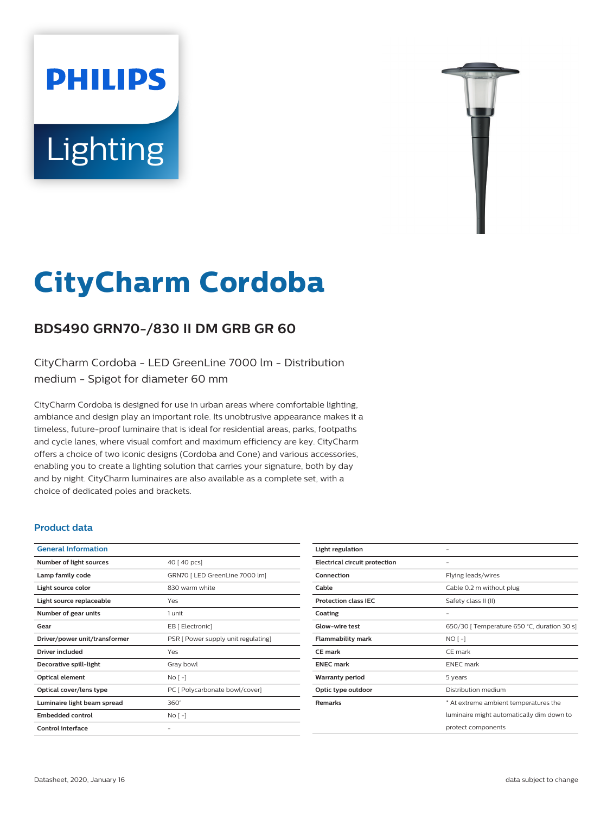# **Lighting**

**PHILIPS** 



# **CityCharm Cordoba**

# **BDS490 GRN70-/830 II DM GRB GR 60**

CityCharm Cordoba - LED GreenLine 7000 lm - Distribution medium - Spigot for diameter 60 mm

CityCharm Cordoba is designed for use in urban areas where comfortable lighting, ambiance and design play an important role. Its unobtrusive appearance makes it a timeless, future-proof luminaire that is ideal for residential areas, parks, footpaths and cycle lanes, where visual comfort and maximum efficiency are key. CityCharm offers a choice of two iconic designs (Cordoba and Cone) and various accessories, enabling you to create a lighting solution that carries your signature, both by day and by night. CityCharm luminaires are also available as a complete set, with a choice of dedicated poles and brackets.

#### **Product data**

| 40 [ 40 pcs]                        |
|-------------------------------------|
| GRN70   LED GreenLine 7000 lm]      |
| 830 warm white                      |
| Yes                                 |
| 1 unit                              |
| EB [ Electronic]                    |
| PSR [ Power supply unit regulating] |
| Yes                                 |
| Gray bowl                           |
| $No[-]$                             |
| PC [ Polycarbonate bowl/cover]      |
| $360^\circ$                         |
| $No[-]$                             |
|                                     |
|                                     |

| Light regulation                     |                                             |
|--------------------------------------|---------------------------------------------|
| <b>Electrical circuit protection</b> |                                             |
| Connection                           | Flying leads/wires                          |
| Cable                                | Cable 0.2 m without plug                    |
| <b>Protection class IEC</b>          | Safety class II (II)                        |
| Coating                              |                                             |
| <b>Glow-wire test</b>                | 650/30   Temperature 650 °C, duration 30 s] |
| <b>Flammability mark</b>             | $NO[-]$                                     |
| <b>CE</b> mark                       | CE mark                                     |
| <b>ENEC mark</b>                     | <b>ENEC</b> mark                            |
| <b>Warranty period</b>               | 5 years                                     |
| Optic type outdoor                   | Distribution medium                         |
| <b>Remarks</b>                       | * At extreme ambient temperatures the       |
|                                      | luminaire might automatically dim down to   |
|                                      | protect components                          |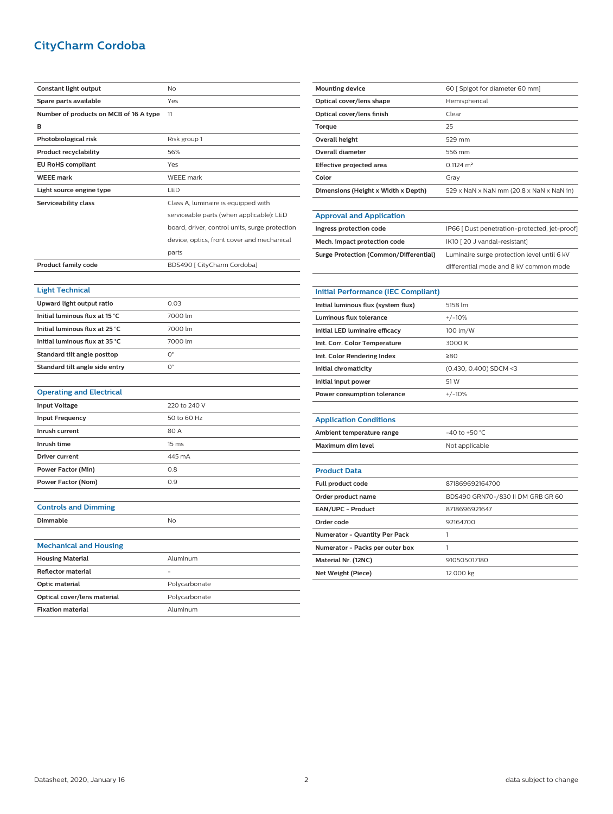## **CityCharm Cordoba**

| Constant light output                  | No                                             |
|----------------------------------------|------------------------------------------------|
| Spare parts available                  | Yes                                            |
| Number of products on MCB of 16 A type | 11                                             |
| в                                      |                                                |
| Photobiological risk                   | Risk group 1                                   |
| <b>Product recyclability</b>           | 56%                                            |
| <b>EU RoHS compliant</b>               | Yes                                            |
| <b>WEEE mark</b>                       | <b>WEEE</b> mark                               |
| Light source engine type               | LED                                            |
| Serviceability class                   | Class A, luminaire is equipped with            |
|                                        | serviceable parts (when applicable): LED       |
|                                        | board, driver, control units, surge protection |
|                                        | device, optics, front cover and mechanical     |
|                                        | parts                                          |
| <b>Product family code</b>             | BDS490 [ CityCharm Cordoba]                    |
|                                        |                                                |
| <b>Light Technical</b>                 |                                                |
| Upward light output ratio              | 0.03                                           |
| Initial luminous flux at 15 °C         | 7000 lm                                        |
| Initial luminous flux at 25 °C         | 7000 lm                                        |
| Initial luminous flux at 35 °C         | 7000 lm                                        |
| Standard tilt angle posttop            | 0°                                             |
| Standard tilt angle side entry         | $O^{\circ}$                                    |
|                                        |                                                |
| <b>Operating and Electrical</b>        |                                                |
| <b>Input Voltage</b>                   | 220 to 240 V                                   |
| <b>Input Frequency</b>                 | 50 to 60 Hz                                    |
| Inrush current                         | 80 A                                           |
| Inrush time                            | 15 <sub>ms</sub>                               |
| <b>Driver current</b>                  | 445 mA                                         |
| <b>Power Factor (Min)</b>              | 0.8                                            |
| Power Factor (Nom)                     | 0.9                                            |
|                                        |                                                |
| <b>Controls and Dimming</b>            |                                                |
| <b>Dimmable</b>                        | No                                             |
|                                        |                                                |
| <b>Mechanical and Housing</b>          |                                                |
| <b>Housing Material</b>                | Aluminum                                       |
| <b>Reflector material</b>              |                                                |
| Optic material                         | Polycarbonate                                  |
| Optical cover/lens material            | Polycarbonate                                  |
| <b>Fixation material</b>               | Aluminum                                       |
|                                        |                                                |

| <b>Mounting device</b>                        | 60   Spigot for diameter 60 mm]               |
|-----------------------------------------------|-----------------------------------------------|
| Optical cover/lens shape                      | Hemispherical                                 |
| Optical cover/lens finish                     | Clear                                         |
| Torque                                        | 25                                            |
| Overall height                                | 529 mm                                        |
| <b>Overall diameter</b>                       | 556 mm                                        |
| Effective projected area                      | $0.1124$ m <sup>2</sup>                       |
| Color                                         | Gray                                          |
| Dimensions (Height x Width x Depth)           | 529 x NaN x NaN mm (20.8 x NaN x NaN in)      |
|                                               |                                               |
| <b>Approval and Application</b>               |                                               |
| Ingress protection code                       | IP66 [ Dust penetration-protected, jet-proof] |
| Mech. impact protection code                  | IK10 [20 J vandal-resistant]                  |
| <b>Surge Protection (Common/Differential)</b> | Luminaire surge protection level until 6 kV   |

|                                            | שוווכוכוונומג וווטטכ מווט ט ולא כטווווווטוו וווטטכ |
|--------------------------------------------|----------------------------------------------------|
|                                            |                                                    |
| <b>Initial Performance (IEC Compliant)</b> |                                                    |
| Initial luminous flux (system flux)        | 5158 lm                                            |
| Luminous flux tolerance                    | $+/-10%$                                           |
| Initial LED luminaire efficacy             | 100 lm/W                                           |
| Init. Corr. Color Temperature              | 3000 K                                             |
| Init. Color Rendering Index                | 280                                                |
| Initial chromaticity                       | (0.430, 0.400) SDCM <3                             |
| Initial input power                        | 51 W                                               |
| Power consumption tolerance                | $+/-10%$                                           |
|                                            |                                                    |
| Annlication Conditions                     |                                                    |

differential mode and 8 kV common mode

| <b>Application Conditions</b> |                  |
|-------------------------------|------------------|
| Ambient temperature range     | $-40$ to +50 °C. |
| Maximum dim level             | Not applicable   |
|                               |                  |

| <b>Product Data</b>                  |                                   |
|--------------------------------------|-----------------------------------|
| Full product code                    | 871869692164700                   |
| Order product name                   | BDS490 GRN70-/830 II DM GRB GR 60 |
| <b>EAN/UPC - Product</b>             | 8718696921647                     |
| Order code                           | 92164700                          |
| <b>Numerator - Quantity Per Pack</b> |                                   |
| Numerator - Packs per outer box      |                                   |
| Material Nr. (12NC)                  | 910505017180                      |
| Net Weight (Piece)                   | 12.000 kg                         |
|                                      |                                   |